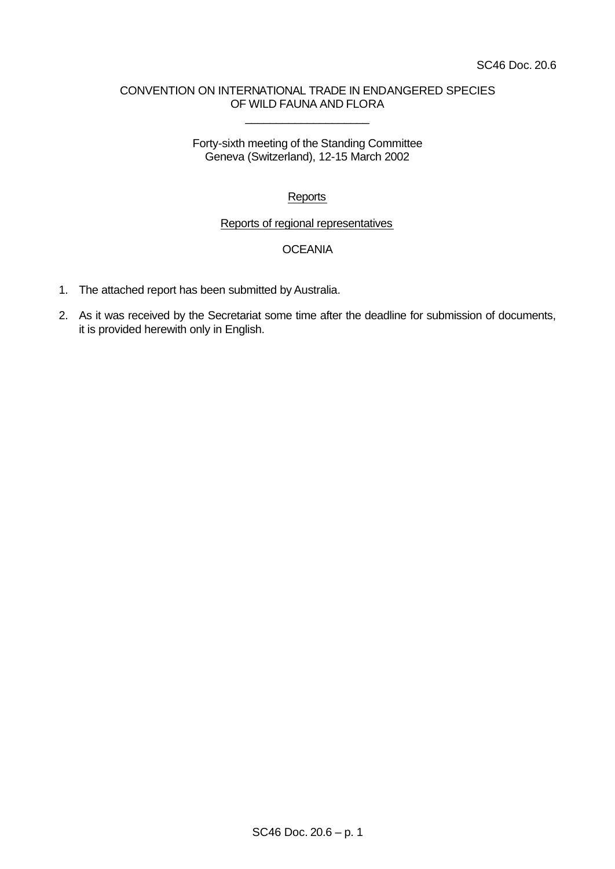## CONVENTION ON INTERNATIONAL TRADE IN ENDANGERED SPECIES OF WILD FAUNA AND FLORA

\_\_\_\_\_\_\_\_\_\_\_\_\_\_\_\_\_\_\_\_

Forty-sixth meeting of the Standing Committee Geneva (Switzerland), 12-15 March 2002

# **Reports**

### Reports of regional representatives

## **OCEANIA**

- 1. The attached report has been submitted by Australia.
- 2. As it was received by the Secretariat some time after the deadline for submission of documents, it is provided herewith only in English.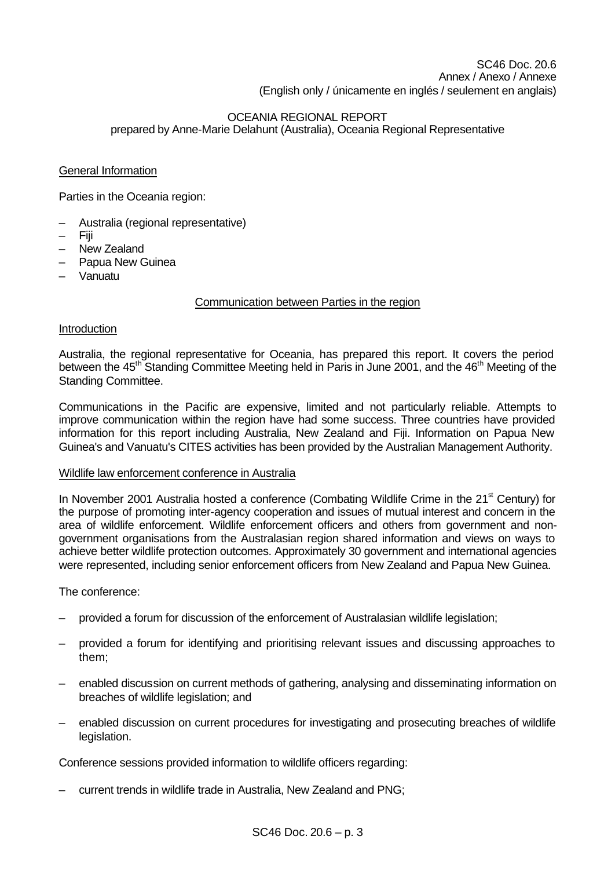# OCEANIA REGIONAL REPORT prepared by Anne-Marie Delahunt (Australia), Oceania Regional Representative

## General Information

Parties in the Oceania region:

- Australia (regional representative)
- Fiji
- New Zealand
- Papua New Guinea
- Vanuatu

## Communication between Parties in the region

## **Introduction**

Australia, the regional representative for Oceania, has prepared this report. It covers the period between the 45<sup>th</sup> Standing Committee Meeting held in Paris in June 2001, and the 46<sup>th</sup> Meeting of the Standing Committee.

Communications in the Pacific are expensive, limited and not particularly reliable. Attempts to improve communication within the region have had some success. Three countries have provided information for this report including Australia, New Zealand and Fiji. Information on Papua New Guinea's and Vanuatu's CITES activities has been provided by the Australian Management Authority.

## Wildlife law enforcement conference in Australia

In November 2001 Australia hosted a conference (Combating Wildlife Crime in the  $21<sup>st</sup>$  Century) for the purpose of promoting inter-agency cooperation and issues of mutual interest and concern in the area of wildlife enforcement. Wildlife enforcement officers and others from government and nongovernment organisations from the Australasian region shared information and views on ways to achieve better wildlife protection outcomes. Approximately 30 government and international agencies were represented, including senior enforcement officers from New Zealand and Papua New Guinea.

The conference:

- provided a forum for discussion of the enforcement of Australasian wildlife legislation;
- provided a forum for identifying and prioritising relevant issues and discussing approaches to them;
- enabled discussion on current methods of gathering, analysing and disseminating information on breaches of wildlife legislation; and
- enabled discussion on current procedures for investigating and prosecuting breaches of wildlife legislation.

Conference sessions provided information to wildlife officers regarding:

– current trends in wildlife trade in Australia, New Zealand and PNG;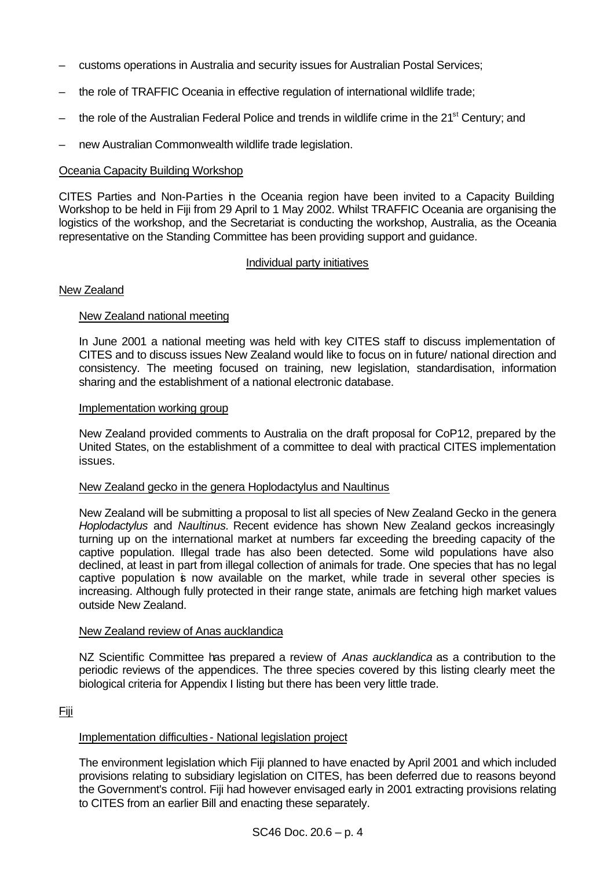- customs operations in Australia and security issues for Australian Postal Services;
- the role of TRAFFIC Oceania in effective regulation of international wildlife trade;
- the role of the Australian Federal Police and trends in wildlife crime in the 21<sup>st</sup> Century; and
- new Australian Commonwealth wildlife trade legislation.

### Oceania Capacity Building Workshop

CITES Parties and Non-Parties in the Oceania region have been invited to a Capacity Building Workshop to be held in Fiji from 29 April to 1 May 2002. Whilst TRAFFIC Oceania are organising the logistics of the workshop, and the Secretariat is conducting the workshop, Australia, as the Oceania representative on the Standing Committee has been providing support and guidance.

### Individual party initiatives

### New Zealand

### New Zealand national meeting

In June 2001 a national meeting was held with key CITES staff to discuss implementation of CITES and to discuss issues New Zealand would like to focus on in future/ national direction and consistency. The meeting focused on training, new legislation, standardisation, information sharing and the establishment of a national electronic database.

#### Implementation working group

New Zealand provided comments to Australia on the draft proposal for CoP12, prepared by the United States, on the establishment of a committee to deal with practical CITES implementation issues.

#### New Zealand gecko in the genera Hoplodactylus and Naultinus

New Zealand will be submitting a proposal to list all species of New Zealand Gecko in the genera *Hoplodactylus* and *Naultinus.* Recent evidence has shown New Zealand geckos increasingly turning up on the international market at numbers far exceeding the breeding capacity of the captive population. Illegal trade has also been detected. Some wild populations have also declined, at least in part from illegal collection of animals for trade. One species that has no legal captive population is now available on the market, while trade in several other species is increasing. Although fully protected in their range state, animals are fetching high market values outside New Zealand.

#### New Zealand review of Anas aucklandica

NZ Scientific Committee has prepared a review of *Anas aucklandica* as a contribution to the periodic reviews of the appendices. The three species covered by this listing clearly meet the biological criteria for Appendix I listing but there has been very little trade.

#### Fiji

## Implementation difficulties - National legislation project

The environment legislation which Fiji planned to have enacted by April 2001 and which included provisions relating to subsidiary legislation on CITES, has been deferred due to reasons beyond the Government's control. Fiji had however envisaged early in 2001 extracting provisions relating to CITES from an earlier Bill and enacting these separately.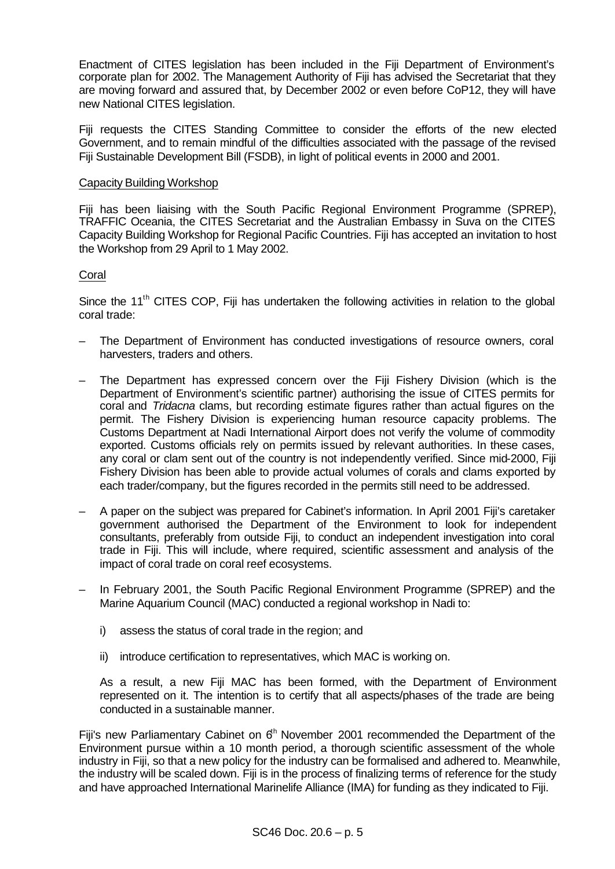Enactment of CITES legislation has been included in the Fiji Department of Environment's corporate plan for 2002. The Management Authority of Fiji has advised the Secretariat that they are moving forward and assured that, by December 2002 or even before CoP12, they will have new National CITES legislation.

Fiji requests the CITES Standing Committee to consider the efforts of the new elected Government, and to remain mindful of the difficulties associated with the passage of the revised Fiji Sustainable Development Bill (FSDB), in light of political events in 2000 and 2001.

### Capacity Building Workshop

Fiji has been liaising with the South Pacific Regional Environment Programme (SPREP), TRAFFIC Oceania, the CITES Secretariat and the Australian Embassy in Suva on the CITES Capacity Building Workshop for Regional Pacific Countries. Fiji has accepted an invitation to host the Workshop from 29 April to 1 May 2002.

## Coral

Since the 11<sup>th</sup> CITES COP, Fiji has undertaken the following activities in relation to the global coral trade:

- The Department of Environment has conducted investigations of resource owners, coral harvesters, traders and others.
- The Department has expressed concern over the Fiji Fishery Division (which is the Department of Environment's scientific partner) authorising the issue of CITES permits for coral and *Tridacna* clams, but recording estimate figures rather than actual figures on the permit. The Fishery Division is experiencing human resource capacity problems. The Customs Department at Nadi International Airport does not verify the volume of commodity exported. Customs officials rely on permits issued by relevant authorities. In these cases, any coral or clam sent out of the country is not independently verified. Since mid-2000, Fiji Fishery Division has been able to provide actual volumes of corals and clams exported by each trader/company, but the figures recorded in the permits still need to be addressed.
- A paper on the subject was prepared for Cabinet's information. In April 2001 Fiji's caretaker government authorised the Department of the Environment to look for independent consultants, preferably from outside Fiji, to conduct an independent investigation into coral trade in Fiji. This will include, where required, scientific assessment and analysis of the impact of coral trade on coral reef ecosystems.
- In February 2001, the South Pacific Regional Environment Programme (SPREP) and the Marine Aquarium Council (MAC) conducted a regional workshop in Nadi to:
	- i) assess the status of coral trade in the region; and
	- ii) introduce certification to representatives, which MAC is working on.

As a result, a new Fiji MAC has been formed, with the Department of Environment represented on it. The intention is to certify that all aspects/phases of the trade are being conducted in a sustainable manner.

Fiji's new Parliamentary Cabinet on  $6<sup>h</sup>$  November 2001 recommended the Department of the Environment pursue within a 10 month period, a thorough scientific assessment of the whole industry in Fiji, so that a new policy for the industry can be formalised and adhered to. Meanwhile, the industry will be scaled down. Fiji is in the process of finalizing terms of reference for the study and have approached International Marinelife Alliance (IMA) for funding as they indicated to Fiji.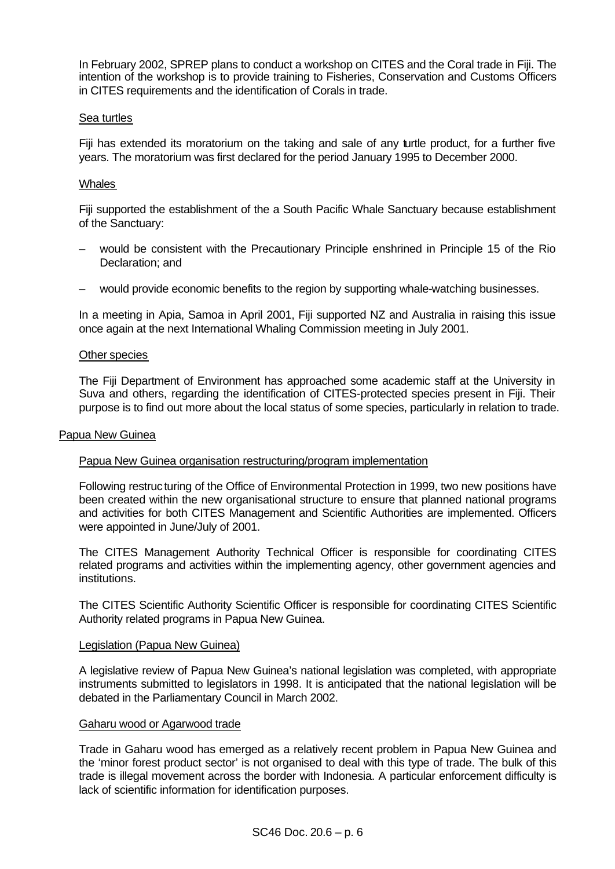In February 2002, SPREP plans to conduct a workshop on CITES and the Coral trade in Fiji. The intention of the workshop is to provide training to Fisheries, Conservation and Customs Officers in CITES requirements and the identification of Corals in trade.

### Sea turtles

Fiji has extended its moratorium on the taking and sale of any turtle product, for a further five years. The moratorium was first declared for the period January 1995 to December 2000.

### **Whales**

Fiji supported the establishment of the a South Pacific Whale Sanctuary because establishment of the Sanctuary:

- would be consistent with the Precautionary Principle enshrined in Principle 15 of the Rio Declaration; and
- would provide economic benefits to the region by supporting whale-watching businesses.

In a meeting in Apia, Samoa in April 2001, Fiji supported NZ and Australia in raising this issue once again at the next International Whaling Commission meeting in July 2001.

#### Other species

The Fiji Department of Environment has approached some academic staff at the University in Suva and others, regarding the identification of CITES-protected species present in Fiji. Their purpose is to find out more about the local status of some species, particularly in relation to trade.

#### Papua New Guinea

#### Papua New Guinea organisation restructuring/program implementation

Following restructuring of the Office of Environmental Protection in 1999, two new positions have been created within the new organisational structure to ensure that planned national programs and activities for both CITES Management and Scientific Authorities are implemented. Officers were appointed in June/July of 2001.

The CITES Management Authority Technical Officer is responsible for coordinating CITES related programs and activities within the implementing agency, other government agencies and institutions.

The CITES Scientific Authority Scientific Officer is responsible for coordinating CITES Scientific Authority related programs in Papua New Guinea.

#### Legislation (Papua New Guinea)

A legislative review of Papua New Guinea's national legislation was completed, with appropriate instruments submitted to legislators in 1998. It is anticipated that the national legislation will be debated in the Parliamentary Council in March 2002.

#### Gaharu wood or Agarwood trade

Trade in Gaharu wood has emerged as a relatively recent problem in Papua New Guinea and the 'minor forest product sector' is not organised to deal with this type of trade. The bulk of this trade is illegal movement across the border with Indonesia. A particular enforcement difficulty is lack of scientific information for identification purposes.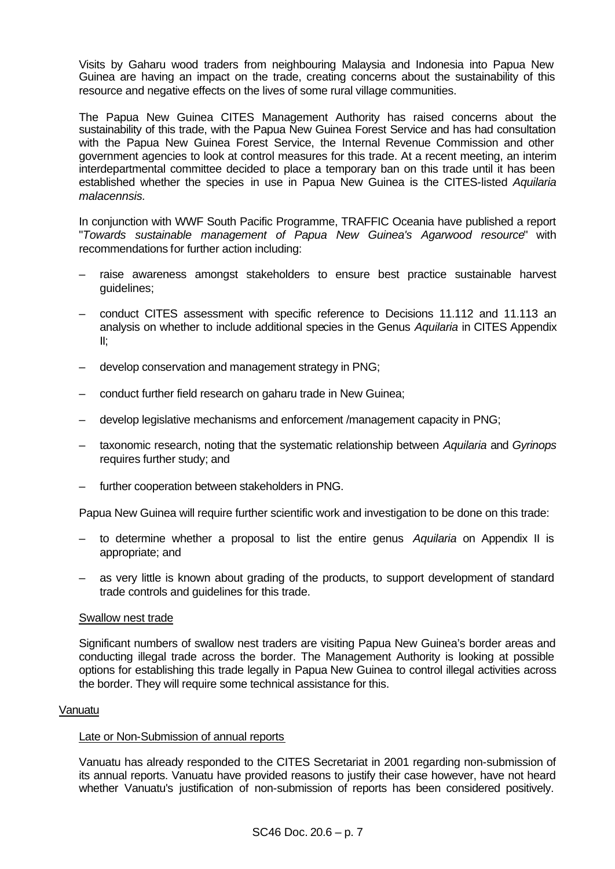Visits by Gaharu wood traders from neighbouring Malaysia and Indonesia into Papua New Guinea are having an impact on the trade, creating concerns about the sustainability of this resource and negative effects on the lives of some rural village communities.

The Papua New Guinea CITES Management Authority has raised concerns about the sustainability of this trade, with the Papua New Guinea Forest Service and has had consultation with the Papua New Guinea Forest Service, the Internal Revenue Commission and other government agencies to look at control measures for this trade. At a recent meeting, an interim interdepartmental committee decided to place a temporary ban on this trade until it has been established whether the species in use in Papua New Guinea is the CITES-listed *Aquilaria malacennsis.*

In conjunction with WWF South Pacific Programme, TRAFFIC Oceania have published a report "*Towards sustainable management of Papua New Guinea's Agarwood resource*" with recommendations for further action including:

- raise awareness amongst stakeholders to ensure best practice sustainable harvest guidelines;
- conduct CITES assessment with specific reference to Decisions 11.112 and 11.113 an analysis on whether to include additional species in the Genus *Aquilaria* in CITES Appendix II;
- develop conservation and management strategy in PNG;
- conduct further field research on gaharu trade in New Guinea;
- develop legislative mechanisms and enforcement /management capacity in PNG;
- taxonomic research, noting that the systematic relationship between *Aquilaria* and *Gyrinops*  requires further study; and
- further cooperation between stakeholders in PNG.

Papua New Guinea will require further scientific work and investigation to be done on this trade:

- to determine whether a proposal to list the entire genus *Aquilaria* on Appendix II is appropriate; and
- as very little is known about grading of the products, to support development of standard trade controls and guidelines for this trade.

#### Swallow nest trade

Significant numbers of swallow nest traders are visiting Papua New Guinea's border areas and conducting illegal trade across the border. The Management Authority is looking at possible options for establishing this trade legally in Papua New Guinea to control illegal activities across the border. They will require some technical assistance for this.

#### Vanuatu

#### Late or Non-Submission of annual reports

Vanuatu has already responded to the CITES Secretariat in 2001 regarding non-submission of its annual reports. Vanuatu have provided reasons to justify their case however, have not heard whether Vanuatu's justification of non-submission of reports has been considered positively.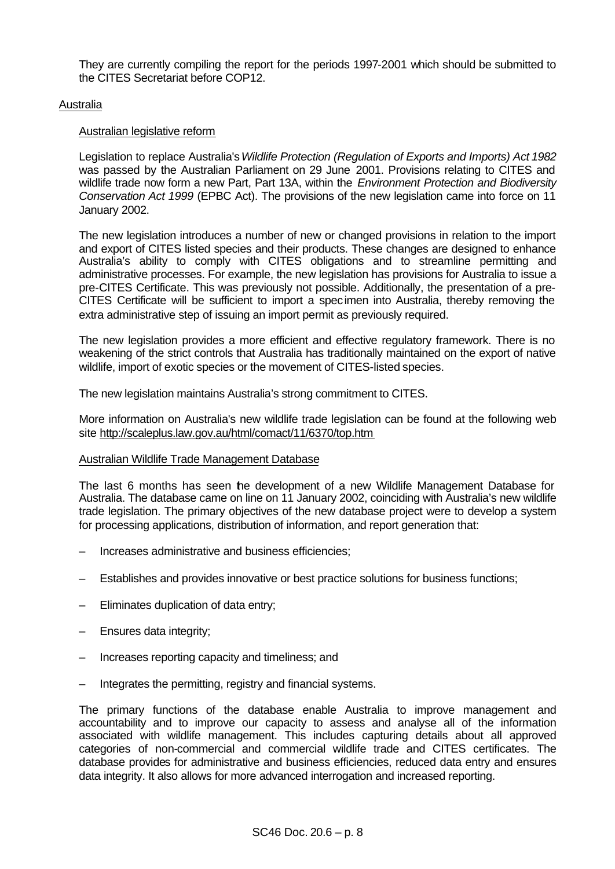They are currently compiling the report for the periods 1997-2001 which should be submitted to the CITES Secretariat before COP12.

### Australia

### Australian legislative reform

Legislation to replace Australia's *Wildlife Protection (Regulation of Exports and Imports) Act 1982* was passed by the Australian Parliament on 29 June 2001. Provisions relating to CITES and wildlife trade now form a new Part, Part 13A, within the *Environment Protection and Biodiversity Conservation Act 1999* (EPBC Act). The provisions of the new legislation came into force on 11 January 2002.

The new legislation introduces a number of new or changed provisions in relation to the import and export of CITES listed species and their products. These changes are designed to enhance Australia's ability to comply with CITES obligations and to streamline permitting and administrative processes. For example, the new legislation has provisions for Australia to issue a pre-CITES Certificate. This was previously not possible. Additionally, the presentation of a pre-CITES Certificate will be sufficient to import a specimen into Australia, thereby removing the extra administrative step of issuing an import permit as previously required.

The new legislation provides a more efficient and effective regulatory framework. There is no weakening of the strict controls that Australia has traditionally maintained on the export of native wildlife, import of exotic species or the movement of CITES-listed species.

The new legislation maintains Australia's strong commitment to CITES.

More information on Australia's new wildlife trade legislation can be found at the following web site http://scaleplus.law.gov.au/html/comact/11/6370/top.htm

#### Australian Wildlife Trade Management Database

The last 6 months has seen the development of a new Wildlife Management Database for Australia. The database came on line on 11 January 2002, coinciding with Australia's new wildlife trade legislation. The primary objectives of the new database project were to develop a system for processing applications, distribution of information, and report generation that:

- Increases administrative and business efficiencies;
- Establishes and provides innovative or best practice solutions for business functions;
- Eliminates duplication of data entry;
- Ensures data integrity;
- Increases reporting capacity and timeliness; and
- Integrates the permitting, registry and financial systems.

The primary functions of the database enable Australia to improve management and accountability and to improve our capacity to assess and analyse all of the information associated with wildlife management. This includes capturing details about all approved categories of non-commercial and commercial wildlife trade and CITES certificates. The database provides for administrative and business efficiencies, reduced data entry and ensures data integrity. It also allows for more advanced interrogation and increased reporting.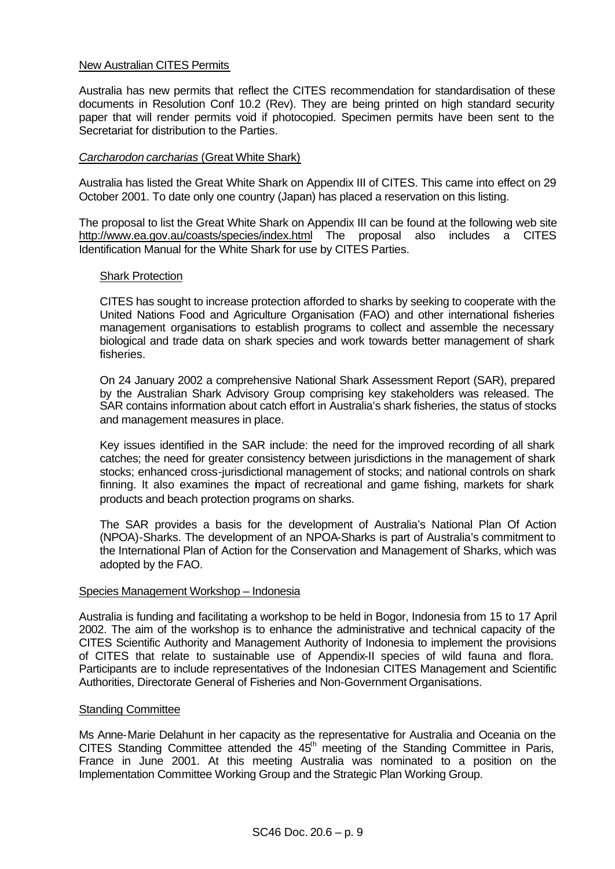### New Australian CITES Permits

Australia has new permits that reflect the CITES recommendation for standardisation of these documents in Resolution Conf 10.2 (Rev). They are being printed on high standard security paper that will render permits void if photocopied. Specimen permits have been sent to the Secretariat for distribution to the Parties.

## *Carcharodon carcharias* (Great White Shark)

Australia has listed the Great White Shark on Appendix III of CITES. This came into effect on 29 October 2001. To date only one country (Japan) has placed a reservation on this listing.

The proposal to list the Great White Shark on Appendix III can be found at the following web site http://www.ea.gov.au/coasts/species/index.html The proposal also includes a CITES Identification Manual for the White Shark for use by CITES Parties.

### Shark Protection

CITES has sought to increase protection afforded to sharks by seeking to cooperate with the United Nations Food and Agriculture Organisation (FAO) and other international fisheries management organisations to establish programs to collect and assemble the necessary biological and trade data on shark species and work towards better management of shark fisheries.

On 24 January 2002 a comprehensive National Shark Assessment Report (SAR), prepared by the Australian Shark Advisory Group comprising key stakeholders was released. The SAR contains information about catch effort in Australia's shark fisheries, the status of stocks and management measures in place.

Key issues identified in the SAR include: the need for the improved recording of all shark catches; the need for greater consistency between jurisdictions in the management of shark stocks; enhanced cross-jurisdictional management of stocks; and national controls on shark finning. It also examines the impact of recreational and game fishing, markets for shark products and beach protection programs on sharks.

The SAR provides a basis for the development of Australia's National Plan Of Action (NPOA)-Sharks. The development of an NPOA-Sharks is part of Australia's commitment to the International Plan of Action for the Conservation and Management of Sharks, which was adopted by the FAO.

#### Species Management Workshop – Indonesia

Australia is funding and facilitating a workshop to be held in Bogor, Indonesia from 15 to 17 April 2002. The aim of the workshop is to enhance the administrative and technical capacity of the CITES Scientific Authority and Management Authority of Indonesia to implement the provisions of CITES that relate to sustainable use of Appendix-II species of wild fauna and flora. Participants are to include representatives of the Indonesian CITES Management and Scientific Authorities, Directorate General of Fisheries and Non-Government Organisations.

#### Standing Committee

Ms Anne-Marie Delahunt in her capacity as the representative for Australia and Oceania on the CITES Standing Committee attended the 45<sup>th</sup> meeting of the Standing Committee in Paris, France in June 2001. At this meeting Australia was nominated to a position on the Implementation Committee Working Group and the Strategic Plan Working Group.